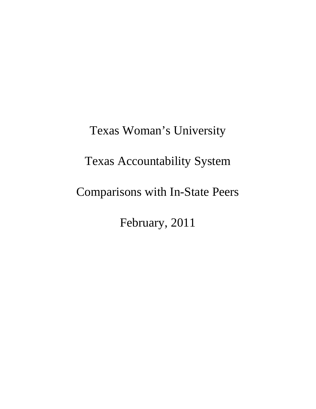Texas Woman's University Texas Accountability System Comparisons with In-State Peers February, 2011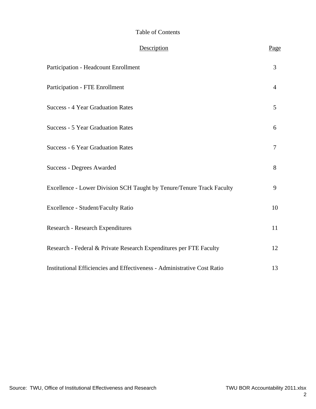#### Table of Contents

| Description                                                              | Page           |
|--------------------------------------------------------------------------|----------------|
| Participation - Headcount Enrollment                                     | $\overline{3}$ |
| <b>Participation - FTE Enrollment</b>                                    | $\overline{4}$ |
| <b>Success - 4 Year Graduation Rates</b>                                 | 5              |
| <b>Success - 5 Year Graduation Rates</b>                                 | 6              |
| <b>Success - 6 Year Graduation Rates</b>                                 | 7              |
| <b>Success - Degrees Awarded</b>                                         | 8              |
| Excellence - Lower Division SCH Taught by Tenure/Tenure Track Faculty    | 9              |
| Excellence - Student/Faculty Ratio                                       | 10             |
| Research - Research Expenditures                                         | 11             |
| Research - Federal & Private Research Expenditures per FTE Faculty       | 12             |
| Institutional Efficiencies and Effectiveness - Administrative Cost Ratio | 13             |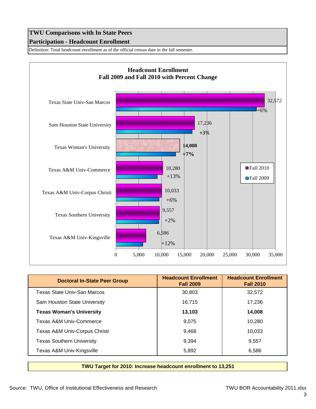# **TWU Comparisons with In State Peers Participation - Headcount Enrollment**

Definition: Total headcount enrollment as of the official census date in the fall semester.



| <b>Doctoral In-State Peer Group</b> | <b>Headcount Enrollment</b><br><b>Fall 2009</b> | <b>Headcount Enrollment</b><br><b>Fall 2010</b> |
|-------------------------------------|-------------------------------------------------|-------------------------------------------------|
| Texas State Univ-San Marcos         | 30,803                                          | 32,572                                          |
| Sam Houston State University        | 16,715                                          | 17,236                                          |
| <b>Texas Woman's University</b>     | 13,103                                          | 14.008                                          |
| Texas A&M Univ-Commerce             | 9.075                                           | 10.280                                          |
| Texas A&M Univ-Corpus Christi       | 9,468                                           | 10.033                                          |
| <b>Texas Southern University</b>    | 9.394                                           | 9,557                                           |
| Texas A&M Univ-Kingsville           | 5,892                                           | 6,586                                           |

**TWU Target for 2010: Increase headcount enrollment to 13,251**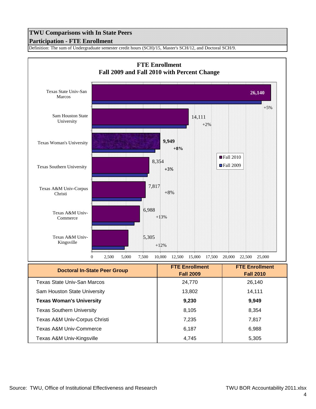# **TWU Comparisons with In State Peers Participation - FTE Enrollment**

Definition: The sum of Undergraduate semester credit hours (SCH)/15, Master's SCH/12, and Doctoral SCH/9.



| <b>Doctoral In-State Peer Group</b> |                  |                  |
|-------------------------------------|------------------|------------------|
|                                     | <b>Fall 2009</b> | <b>Fall 2010</b> |
| Texas State Univ-San Marcos         | 24,770           | 26,140           |
| Sam Houston State University        | 13,802           | 14,111           |
| <b>Texas Woman's University</b>     | 9,230            | 9,949            |
| <b>Texas Southern University</b>    | 8,105            | 8,354            |
| Texas A&M Univ-Corpus Christi       | 7,235            | 7,817            |
| Texas A&M Univ-Commerce             | 6,187            | 6,988            |
| Texas A&M Univ-Kingsville           | 4,745            | 5,305            |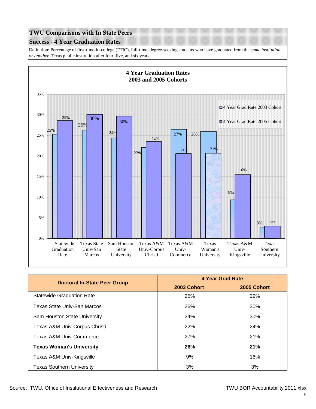## **Success - 4 Year Graduation Rates**

Definition: Percentage of first-time-in-college (FTIC), full-time, degree-seeking students who have graduated from the *same institution or another* Texas public institution after four, five, and six years.



|                                     | <b>4 Year Grad Rate</b> |             |
|-------------------------------------|-------------------------|-------------|
| <b>Doctoral In-State Peer Group</b> | 2003 Cohort             | 2005 Cohort |
| <b>Statewide Graduation Rate</b>    | 25%                     | 29%         |
| Texas State Univ-San Marcos         | 26%                     | 30%         |
| Sam Houston State University        | <b>24%</b>              | 30%         |
| Texas A&M Univ-Corpus Christi       | 22%                     | 24%         |
| Texas A&M Univ-Commerce             | <b>27%</b>              | 21%         |
| <b>Texas Woman's University</b>     | 26%                     | 21%         |
| Texas A&M Univ-Kingsville           | 9%                      | 16%         |
| <b>Texas Southern University</b>    | 3%                      | 3%          |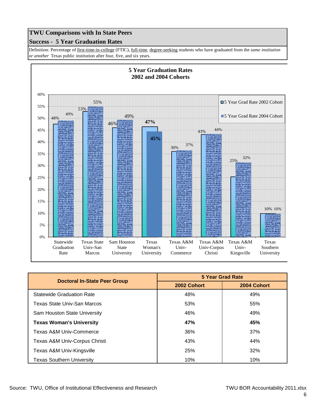#### **Success - 5 Year Graduation Rates**

Definition: Percentage of first-time-in-college (FTIC), full-time, degree-seeking students who have graduated from the *same institution or another* Texas public institution after four, five, and six years.



| <b>Doctoral In-State Peer Group</b> | <b>5 Year Grad Rate</b> |             |
|-------------------------------------|-------------------------|-------------|
|                                     | 2002 Cohort             | 2004 Cohort |
| <b>Statewide Graduation Rate</b>    | 48%                     | 49%         |
| Texas State Univ-San Marcos         | 53%                     | 55%         |
| Sam Houston State University        | 46%                     | 49%         |
| <b>Texas Woman's University</b>     | 47%                     | 45%         |
| Texas A&M Univ-Commerce             | 36%                     | 37%         |
| Texas A&M Univ-Corpus Christi       | 43%                     | 44%         |
| Texas A&M Univ-Kingsville           | 25%                     | 32%         |
| <b>Texas Southern University</b>    | 10%                     | 10%         |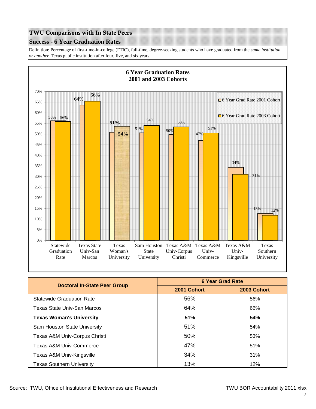## **Success - 6 Year Graduation Rates**

Definition: Percentage of first-time-in-college (FTIC), full-time, degree-seeking students who have graduated from the *same institution or another* Texas public institution after four, five, and six years.



| <b>Doctoral In-State Peer Group</b> | <b>6 Year Grad Rate</b> |             |
|-------------------------------------|-------------------------|-------------|
|                                     | 2001 Cohort             | 2003 Cohort |
| <b>Statewide Graduation Rate</b>    | 56%                     | 56%         |
| Texas State Univ-San Marcos         | 64%                     | 66%         |
| <b>Texas Woman's University</b>     | 51%                     | 54%         |
| Sam Houston State University        | 51%                     | 54%         |
| Texas A&M Univ-Corpus Christi       | 50%                     | 53%         |
| Texas A&M Univ-Commerce             | 47%                     | 51%         |
| Texas A&M Univ-Kingsville           | 34%                     | 31%         |
| Texas Southern University           | 13%                     | 12%         |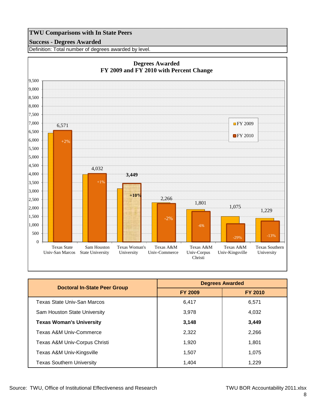#### **Success - Degrees Awarded**

Definition: Total number of degrees awarded by level.



| <b>Doctoral In-State Peer Group</b> | <b>Degrees Awarded</b> |                |
|-------------------------------------|------------------------|----------------|
|                                     | <b>FY 2009</b>         | <b>FY 2010</b> |
| Texas State Univ-San Marcos         | 6,417                  | 6.571          |
| Sam Houston State University        | 3,978                  | 4,032          |
| <b>Texas Woman's University</b>     | 3,148                  | 3,449          |
| Texas A&M Univ-Commerce             | 2,322                  | 2,266          |
| Texas A&M Univ-Corpus Christi       | 1,920                  | 1,801          |
| Texas A&M Univ-Kingsville           | 1,507                  | 1,075          |
| <b>Texas Southern University</b>    | 1,404                  | 1,229          |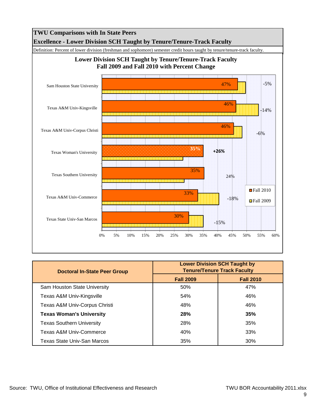

| <b>Doctoral In-State Peer Group</b> | <b>Lower Division SCH Taught by</b><br><b>Tenure/Tenure Track Faculty</b> |                  |
|-------------------------------------|---------------------------------------------------------------------------|------------------|
|                                     | <b>Fall 2009</b>                                                          | <b>Fall 2010</b> |
| Sam Houston State University        | 50%                                                                       | 47%              |
| Texas A&M Univ-Kingsville           | 54%                                                                       | 46%              |
| Texas A&M Univ-Corpus Christi       | 48%                                                                       | 46%              |
| <b>Texas Woman's University</b>     | <b>28%</b>                                                                | 35%              |
| <b>Texas Southern University</b>    | 28%                                                                       | 35%              |
| Texas A&M Univ-Commerce             | 40%                                                                       | 33%              |
| Texas State Univ-San Marcos         | 35%                                                                       | 30%              |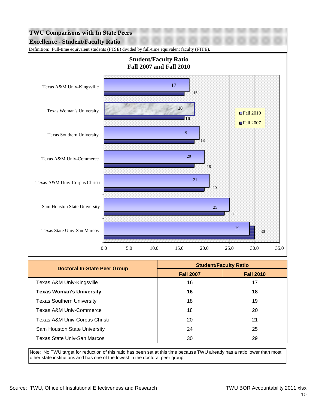

| <b>Doctoral In-State Peer Group</b> | <b>Student/Faculty Ratio</b> |                  |
|-------------------------------------|------------------------------|------------------|
|                                     | <b>Fall 2007</b>             | <b>Fall 2010</b> |
| Texas A&M Univ-Kingsville           | 16                           | 17               |
| <b>Texas Woman's University</b>     | 16                           | 18               |
| <b>Texas Southern University</b>    | 18                           | 19               |
| Texas A&M Univ-Commerce             | 18                           | 20               |
| Texas A&M Univ-Corpus Christi       | 20                           | 21               |
| Sam Houston State University        | 24                           | 25               |
| Texas State Univ-San Marcos         | 30                           | 29               |

Note: No TWU target for reduction of this ratio has been set at this time because TWU already has a ratio lower than most other state institutions and has one of the lowest in the doctoral peer group.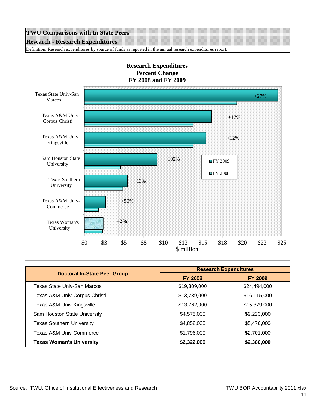#### **Research - Research Expenditures**

Definition: Research expenditures by source of funds as reported in the annual research expenditures report.



|                                     | <b>Research Expenditures</b> |                |
|-------------------------------------|------------------------------|----------------|
| <b>Doctoral In-State Peer Group</b> | <b>FY 2008</b>               | <b>FY 2009</b> |
| Texas State Univ-San Marcos         | \$19,309,000                 | \$24,494,000   |
| Texas A&M Univ-Corpus Christi       | \$13,739,000                 | \$16,115,000   |
| Texas A&M Univ-Kingsville           | \$13,762,000                 | \$15,379,000   |
| Sam Houston State University        | \$4,575,000                  | \$9,223,000    |
| <b>Texas Southern University</b>    | \$4,858,000                  | \$5,476,000    |
| Texas A&M Univ-Commerce             | \$1,796,000                  | \$2,701,000    |
| <b>Texas Woman's University</b>     | \$2,322,000                  | \$2,380,000    |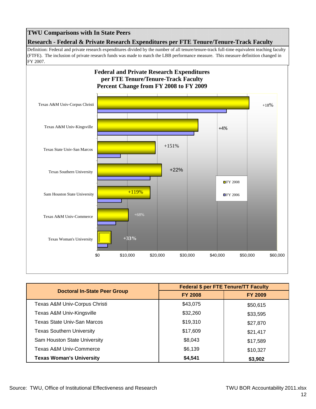**Research - Federal & Private Research Expenditures per FTE Tenure/Tenure-Track Faculty**

Definition: Federal and private research expenditures divided by the number of all tenure/tenure-track full-time equivalent teaching faculty (FTFE). The inclusion of private research funds was made to match the LBB performance measure. This measure definition changed in FY 2007.



|                                     | <b>Federal \$ per FTE Tenure/TT Faculty</b> |                |
|-------------------------------------|---------------------------------------------|----------------|
| <b>Doctoral In-State Peer Group</b> | <b>FY 2008</b>                              | <b>FY 2009</b> |
| Texas A&M Univ-Corpus Christi       | \$43,075                                    | \$50,615       |
| Texas A&M Univ-Kingsville           | \$32,260                                    | \$33,595       |
| Texas State Univ-San Marcos         | \$19,310                                    | \$27,870       |
| <b>Texas Southern University</b>    | \$17,609                                    | \$21,417       |
| Sam Houston State University        | \$8,043                                     | \$17,589       |
| <b>Texas A&amp;M Univ-Commerce</b>  | \$6,139                                     | \$10,327       |
| <b>Texas Woman's University</b>     | \$4,541                                     | \$3,902        |